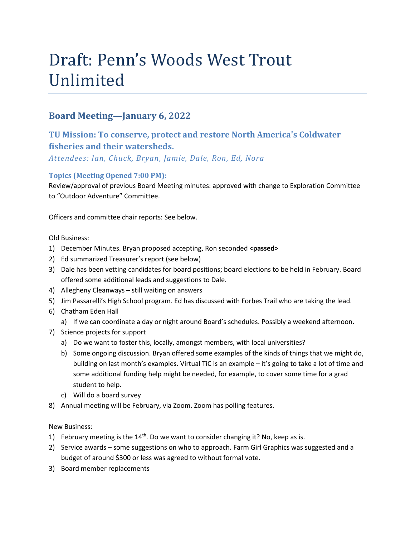# Draft: Penn's Woods West Trout Unlimited

# **Board Meeting—January 6, 2022**

# **TU Mission: To conserve, protect and restore North America's Coldwater fisheries and their watersheds.**

*Attendees: Ian, Chuck, Bryan, Jamie, Dale, Ron, Ed, Nora*

## **Topics (Meeting Opened 7:00 PM):**

Review/approval of previous Board Meeting minutes: approved with change to Exploration Committee to "Outdoor Adventure" Committee.

Officers and committee chair reports: See below.

Old Business:

- 1) December Minutes. Bryan proposed accepting, Ron seconded **<passed>**
- 2) Ed summarized Treasurer's report (see below)
- 3) Dale has been vetting candidates for board positions; board elections to be held in February. Board offered some additional leads and suggestions to Dale.
- 4) Allegheny Cleanways still waiting on answers
- 5) Jim Passarelli's High School program. Ed has discussed with Forbes Trail who are taking the lead.
- 6) Chatham Eden Hall
	- a) If we can coordinate a day or night around Board's schedules. Possibly a weekend afternoon.
- 7) Science projects for support
	- a) Do we want to foster this, locally, amongst members, with local universities?
	- b) Some ongoing discussion. Bryan offered some examples of the kinds of things that we might do, building on last month's examples. Virtual TiC is an example – it's going to take a lot of time and some additional funding help might be needed, for example, to cover some time for a grad student to help.
	- c) Will do a board survey
- 8) Annual meeting will be February, via Zoom. Zoom has polling features.

## New Business:

- 1) February meeting is the  $14<sup>th</sup>$ . Do we want to consider changing it? No, keep as is.
- 2) Service awards some suggestions on who to approach. Farm Girl Graphics was suggested and a budget of around \$300 or less was agreed to without formal vote.
- 3) Board member replacements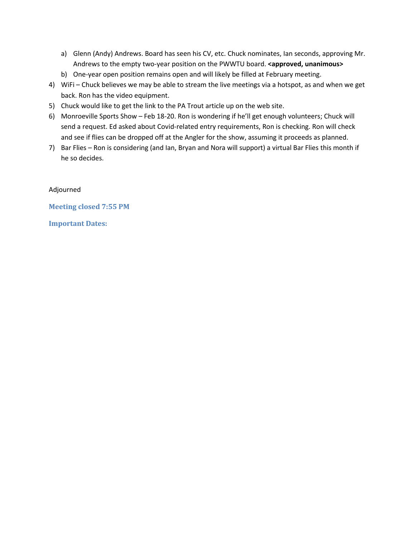- a) Glenn (Andy) Andrews. Board has seen his CV, etc. Chuck nominates, Ian seconds, approving Mr. Andrews to the empty two-year position on the PWWTU board. **<approved, unanimous>**
- b) One-year open position remains open and will likely be filled at February meeting.
- 4) WiFi Chuck believes we may be able to stream the live meetings via a hotspot, as and when we get back. Ron has the video equipment.
- 5) Chuck would like to get the link to the PA Trout article up on the web site.
- 6) Monroeville Sports Show Feb 18-20. Ron is wondering if he'll get enough volunteers; Chuck will send a request. Ed asked about Covid-related entry requirements, Ron is checking. Ron will check and see if flies can be dropped off at the Angler for the show, assuming it proceeds as planned.
- 7) Bar Flies Ron is considering (and Ian, Bryan and Nora will support) a virtual Bar Flies this month if he so decides.

Adjourned

**Meeting closed 7:55 PM**

**Important Dates:**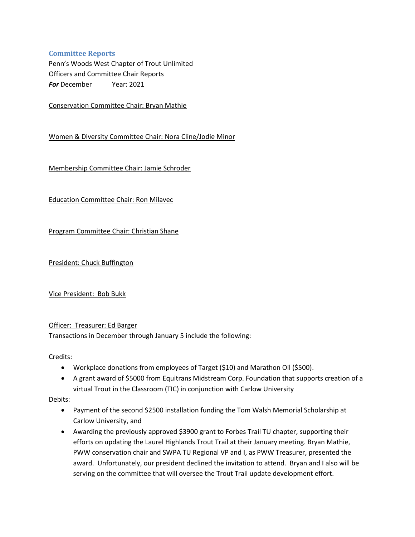### **Committee Reports**

Penn's Woods West Chapter of Trout Unlimited Officers and Committee Chair Reports *For* December Year: 2021

Conservation Committee Chair: Bryan Mathie

Women & Diversity Committee Chair: Nora Cline/Jodie Minor

Membership Committee Chair: Jamie Schroder

Education Committee Chair: Ron Milavec

Program Committee Chair: Christian Shane

President: Chuck Buffington

Vice President: Bob Bukk

#### Officer: Treasurer: Ed Barger

Transactions in December through January 5 include the following:

Credits:

- Workplace donations from employees of Target (\$10) and Marathon Oil (\$500).
- A grant award of \$5000 from Equitrans Midstream Corp. Foundation that supports creation of a virtual Trout in the Classroom (TIC) in conjunction with Carlow University

Debits:

- Payment of the second \$2500 installation funding the Tom Walsh Memorial Scholarship at Carlow University, and
- Awarding the previously approved \$3900 grant to Forbes Trail TU chapter, supporting their efforts on updating the Laurel Highlands Trout Trail at their January meeting. Bryan Mathie, PWW conservation chair and SWPA TU Regional VP and I, as PWW Treasurer, presented the award. Unfortunately, our president declined the invitation to attend. Bryan and I also will be serving on the committee that will oversee the Trout Trail update development effort.